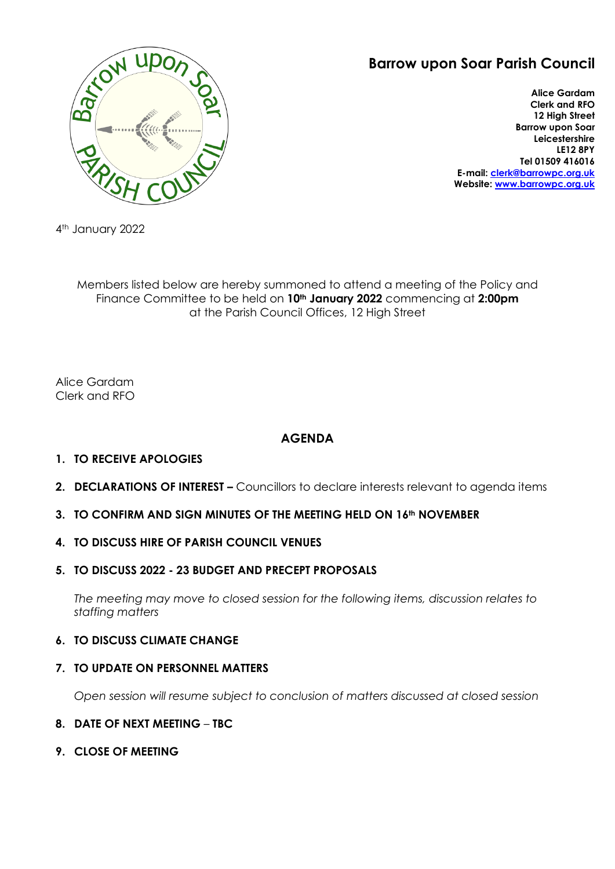# **Barrow upon Soar Parish Council**



**Alice Gardam Clerk and RFO 12 High Street Barrow upon Soar Leicestershire LE12 8PY Tel 01509 416016 E-mail: [clerk@barrowpc.org.uk](mailto:clerk@barrowpc.org.uk) Website: [www.barrowpc.org.uk](http://www.barrowpc.org.uk/)**

4th January 2022

Members listed below are hereby summoned to attend a meeting of the Policy and Finance Committee to be held on **10th January 2022** commencing at **2:00pm** at the Parish Council Offices, 12 High Street

Alice Gardam Clerk and RFO

# **AGENDA**

## **1. TO RECEIVE APOLOGIES**

**2. DECLARATIONS OF INTEREST –** Councillors to declare interests relevant to agenda items

## **3. TO CONFIRM AND SIGN MINUTES OF THE MEETING HELD ON 16th NOVEMBER**

## **4. TO DISCUSS HIRE OF PARISH COUNCIL VENUES**

### **5. TO DISCUSS 2022 - 23 BUDGET AND PRECEPT PROPOSALS**

*The meeting may move to closed session for the following items, discussion relates to staffing matters*

## **6. TO DISCUSS CLIMATE CHANGE**

### **7. TO UPDATE ON PERSONNEL MATTERS**

*Open session will resume subject to conclusion of matters discussed at closed session*

### **8. DATE OF NEXT MEETING** – **TBC**

**9. CLOSE OF MEETING**